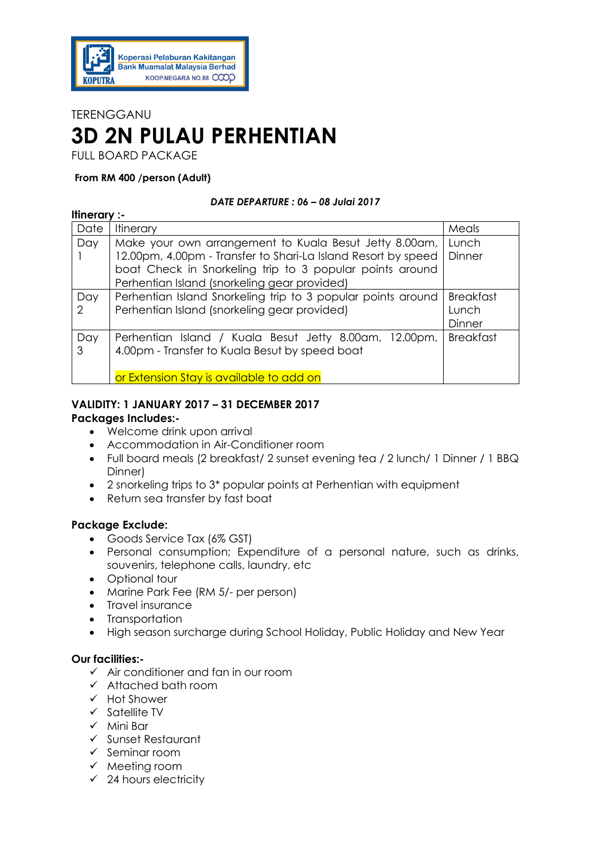

# TERENGGANU **3D 2N PULAU PERHENTIAN**

FULL BOARD PACKAGE

## **From RM 400 /person (Adult)**

#### *DATE DEPARTURE : 06 – 08 Julai 2017*

| <b>Itinerary:-</b> |                                                               |                  |  |
|--------------------|---------------------------------------------------------------|------------------|--|
| Date               | <b>Itinerary</b>                                              | Meals            |  |
| Day                | Make your own arrangement to Kuala Besut Jetty 8.00am,        | Lunch            |  |
|                    | 12.00pm, 4.00pm - Transfer to Shari-La Island Resort by speed | Dinner           |  |
|                    | boat Check in Snorkeling trip to 3 popular points around      |                  |  |
|                    | Perhentian Island (snorkeling gear provided)                  |                  |  |
| Day                | Perhentian Island Snorkeling trip to 3 popular points around  | <b>Breakfast</b> |  |
| 2                  | Perhentian Island (snorkeling gear provided)                  | Lunch            |  |
|                    |                                                               | Dinner           |  |
| Day                | Perhentian Island / Kuala Besut Jetty 8.00am, 12.00pm,        | <b>Breakfast</b> |  |
| 3                  | 4.00pm - Transfer to Kuala Besut by speed boat                |                  |  |
|                    |                                                               |                  |  |
|                    | or Extension Stay is available to add on                      |                  |  |

#### **VALIDITY: 1 JANUARY 2017 – 31 DECEMBER 2017 Packages Includes:-**

- Welcome drink upon arrival
- Accommodation in Air-Conditioner room
- Full board meals (2 breakfast/ 2 sunset evening tea / 2 lunch/ 1 Dinner / 1 BBQ Dinner)
- 2 snorkeling trips to 3\* popular points at Perhentian with equipment
- Return sea transfer by fast boat

## **Package Exclude:**

- Goods Service Tax (6% GST)
- Personal consumption; Expenditure of a personal nature, such as drinks, souvenirs, telephone calls, laundry, etc
- Optional tour
- Marine Park Fee (RM 5/- per person)
- Travel insurance
- Transportation
- High season surcharge during School Holiday, Public Holiday and New Year

## **Our facilities:-**

- $\checkmark$  Air conditioner and fan in our room
- $\checkmark$  Attached bath room
- $\checkmark$  Hot Shower
- $\checkmark$  Satellite TV
- $\checkmark$  Mini Bar
- Sunset Restaurant
- $\checkmark$  Seminar room
- $\checkmark$  Meeting room
- $\checkmark$  24 hours electricity